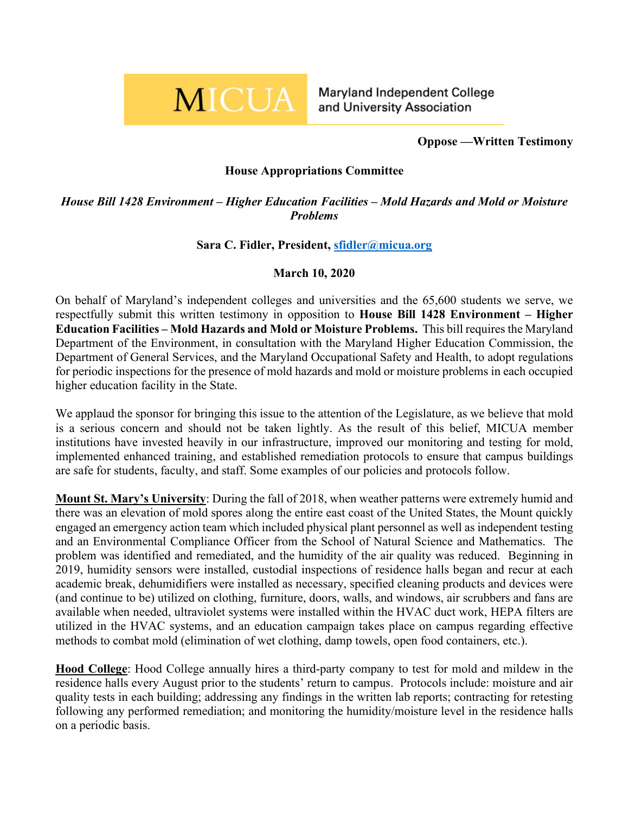

Maryland Independent College and University Association

**Oppose —Written Testimony**

## **House Appropriations Committee**

*House Bill 1428 Environment – Higher Education Facilities – Mold Hazards and Mold or Moisture Problems*

## **Sara C. Fidler, President, [sfidler@micua.org](mailto:sfidler@micua.org)**

## **March 10, 2020**

On behalf of Maryland's independent colleges and universities and the 65,600 students we serve, we respectfully submit this written testimony in opposition to **House Bill 1428 Environment – Higher Education Facilities – Mold Hazards and Mold or Moisture Problems.** This bill requires the Maryland Department of the Environment, in consultation with the Maryland Higher Education Commission, the Department of General Services, and the Maryland Occupational Safety and Health, to adopt regulations for periodic inspections for the presence of mold hazards and mold or moisture problems in each occupied higher education facility in the State.

We applaud the sponsor for bringing this issue to the attention of the Legislature, as we believe that mold is a serious concern and should not be taken lightly. As the result of this belief, MICUA member institutions have invested heavily in our infrastructure, improved our monitoring and testing for mold, implemented enhanced training, and established remediation protocols to ensure that campus buildings are safe for students, faculty, and staff. Some examples of our policies and protocols follow.

**Mount St. Mary's University**: During the fall of 2018, when weather patterns were extremely humid and there was an elevation of mold spores along the entire east coast of the United States, the Mount quickly engaged an emergency action team which included physical plant personnel as well as independent testing and an Environmental Compliance Officer from the School of Natural Science and Mathematics. The problem was identified and remediated, and the humidity of the air quality was reduced. Beginning in 2019, humidity sensors were installed, custodial inspections of residence halls began and recur at each academic break, dehumidifiers were installed as necessary, specified cleaning products and devices were (and continue to be) utilized on clothing, furniture, doors, walls, and windows, air scrubbers and fans are available when needed, ultraviolet systems were installed within the HVAC duct work, HEPA filters are utilized in the HVAC systems, and an education campaign takes place on campus regarding effective methods to combat mold (elimination of wet clothing, damp towels, open food containers, etc.).

**Hood College**: Hood College annually hires a third-party company to test for mold and mildew in the residence halls every August prior to the students' return to campus. Protocols include: moisture and air quality tests in each building; addressing any findings in the written lab reports; contracting for retesting following any performed remediation; and monitoring the humidity/moisture level in the residence halls on a periodic basis.